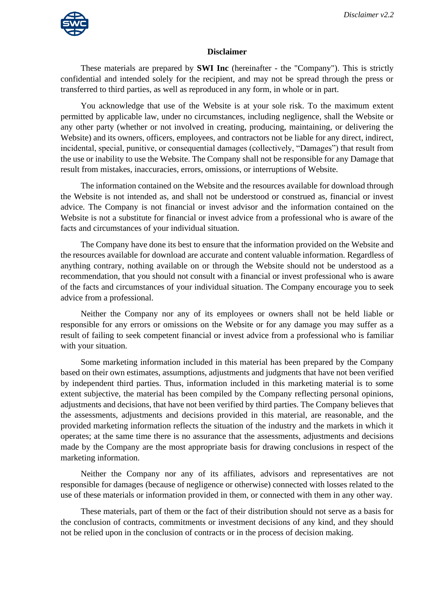

## **Disclaimer**

These materials are prepared by **SWI Inc** (hereinafter - the "Company"). This is strictly confidential and intended solely for the recipient, and may not be spread through the press or transferred to third parties, as well as reproduced in any form, in whole or in part.

You acknowledge that use of the Website is at your sole risk. To the maximum extent permitted by applicable law, under no circumstances, including negligence, shall the Website or any other party (whether or not involved in creating, producing, maintaining, or delivering the Website) and its owners, officers, employees, and contractors not be liable for any direct, indirect, incidental, special, punitive, or consequential damages (collectively, "Damages") that result from the use or inability to use the Website. The Company shall not be responsible for any Damage that result from mistakes, inaccuracies, errors, omissions, or interruptions of Website.

The information contained on the Website and the resources available for download through the Website is not intended as, and shall not be understood or construed as, financial or invest advice. The Company is not financial or invest advisor and the information contained on the Website is not a substitute for financial or invest advice from a professional who is aware of the facts and circumstances of your individual situation.

The Company have done its best to ensure that the information provided on the Website and the resources available for download are accurate and content valuable information. Regardless of anything contrary, nothing available on or through the Website should not be understood as a recommendation, that you should not consult with a financial or invest professional who is aware of the facts and circumstances of your individual situation. The Company encourage you to seek advice from a professional.

Neither the Company nor any of its employees or owners shall not be held liable or responsible for any errors or omissions on the Website or for any damage you may suffer as a result of failing to seek competent financial or invest advice from a professional who is familiar with your situation.

Some marketing information included in this material has been prepared by the Company based on their own estimates, assumptions, adjustments and judgments that have not been verified by independent third parties. Thus, information included in this marketing material is to some extent subjective, the material has been compiled by the Company reflecting personal opinions, adjustments and decisions, that have not been verified by third parties. The Company believes that the assessments, adjustments and decisions provided in this material, are reasonable, and the provided marketing information reflects the situation of the industry and the markets in which it operates; at the same time there is no assurance that the assessments, adjustments and decisions made by the Company are the most appropriate basis for drawing conclusions in respect of the marketing information.

Neither the Company nor any of its affiliates, advisors and representatives are not responsible for damages (because of negligence or otherwise) connected with losses related to the use of these materials or information provided in them, or connected with them in any other way.

These materials, part of them or the fact of their distribution should not serve as a basis for the conclusion of contracts, commitments or investment decisions of any kind, and they should not be relied upon in the conclusion of contracts or in the process of decision making.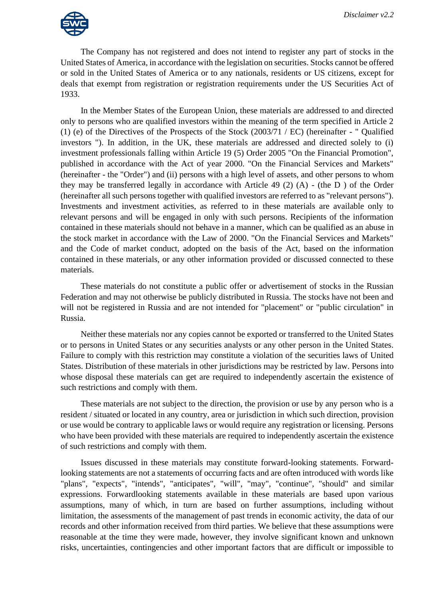

The Company has not registered and does not intend to register any part of stocks in the United States of America, in accordance with the legislation on securities. Stocks cannot be offered or sold in the United States of America or to any nationals, residents or US citizens, except for deals that exempt from registration or registration requirements under the US Securities Act of 1933.

In the Member States of the European Union, these materials are addressed to and directed only to persons who are qualified investors within the meaning of the term specified in Article 2 (1) (e) of the Directives of the Prospects of the Stock  $(2003/71 / EC)$  (hereinafter - " Qualified investors "). In addition, in the UK, these materials are addressed and directed solely to (i) investment professionals falling within Article 19 (5) Order 2005 "On the Financial Promotion", published in accordance with the Act of year 2000. "On the Financial Services and Markets" (hereinafter - the "Order") and (ii) persons with a high level of assets, and other persons to whom they may be transferred legally in accordance with Article 49 (2) (A) - (the D ) of the Order (hereinafter all such persons together with qualified investors are referred to as "relevant persons"). Investments and investment activities, as referred to in these materials are available only to relevant persons and will be engaged in only with such persons. Recipients of the information contained in these materials should not behave in a manner, which can be qualified as an abuse in the stock market in accordance with the Law of 2000. "On the Financial Services and Markets" and the Code of market conduct, adopted on the basis of the Act, based on the information contained in these materials, or any other information provided or discussed connected to these materials.

These materials do not constitute a public offer or advertisement of stocks in the Russian Federation and may not otherwise be publicly distributed in Russia. The stocks have not been and will not be registered in Russia and are not intended for "placement" or "public circulation" in Russia.

Neither these materials nor any copies cannot be exported or transferred to the United States or to persons in United States or any securities analysts or any other person in the United States. Failure to comply with this restriction may constitute a violation of the securities laws of United States. Distribution of these materials in other jurisdictions may be restricted by law. Persons into whose disposal these materials can get are required to independently ascertain the existence of such restrictions and comply with them.

These materials are not subject to the direction, the provision or use by any person who is a resident / situated or located in any country, area or jurisdiction in which such direction, provision or use would be contrary to applicable laws or would require any registration or licensing. Persons who have been provided with these materials are required to independently ascertain the existence of such restrictions and comply with them.

Issues discussed in these materials may constitute forward-looking statements. Forwardlooking statements are not a statements of occurring facts and are often introduced with words like "plans", "expects", "intends", "anticipates", "will", "may", "continue", "should" and similar expressions. Forwardlooking statements available in these materials are based upon various assumptions, many of which, in turn are based on further assumptions, including without limitation, the assessments of the management of past trends in economic activity, the data of our records and other information received from third parties. We believe that these assumptions were reasonable at the time they were made, however, they involve significant known and unknown risks, uncertainties, contingencies and other important factors that are difficult or impossible to